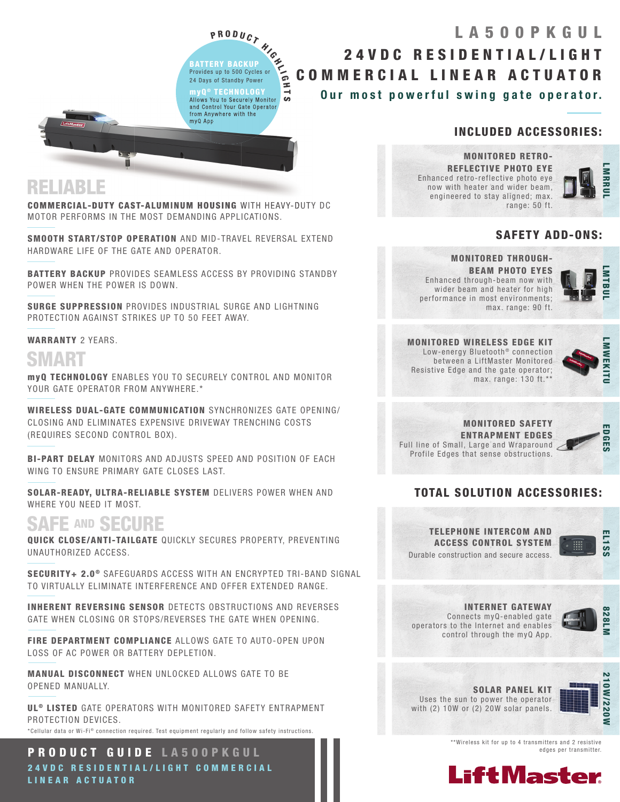P R O D U C T<br>
ERY BACKUP<br>
s up to 500 Cycles or<br>
s of Standby Power BATTERY BACKUP Provides up to 500 Cycles or 24 Days of Standby Power myQ ® TECHNOLOGY Allows You to Securely Monitor and Control Your Gate Operator

from Anywhere with the

myQ App

ದ

## Our most powerful swing gate operator. 24VDC RESIDENTIAL/LIGHT COMMERCIAL LINEAR ACTUATOR LA500PKGUL

### INCLUDED ACCESSORIES:

MONITORED RETRO-REFLECTIVE PHOTO EYE Enhanced retro-reflective photo eye now with heater and wider beam, engineered to stay aligned; max. range: 50 ft.



#### SAFETY ADD-ONS:

#### MONITORED THROUGH-

BEAM PHOTO EYES Enhanced through-beam now with wider beam and heater for high performance in most environments; max. range: 90 ft.



MONITORED WIRELESS EDGE KIT Low-energy Bluetooth<sup>®</sup> connection between a LiftMaster Monitored Resistive Edge and the gate operator; max. range: 130 ft.\*\*



MONITORED SAFETY ENTRAPMENT EDGES Full line of Small, Large and Wraparound Profile Edges that sense obstructions.



### TOTAL SOLUTION ACCESSORIES:





INTERNET GATEWAY Connects myQ-enabled gate operators to the Internet and enables control through the myQ App.



SOLAR PANEL KIT Uses the sun to power the operator with (2) 10W or (2) 20W solar panels.



\*\*Wireless kit for up to 4 transmitters and 2 resistive edges per transmitter.



## RELIABLE

COMMERCIAL-DUTY CAST-ALUMINUM HOUSING WITH HEAVY-DUTY DC MOTOR PERFORMS IN THE MOST DEMANDING APPLICATIONS.

m

SMOOTH START/STOP OPERATION AND MID-TRAVEL REVERSAL EXTEND HARDWARE LIFE OF THE GATE AND OPERATOR.

BATTERY BACKUP PROVIDES SEAMLESS ACCESS BY PROVIDING STANDBY POWER WHEN THE POWER IS DOWN.

SURGE SUPPRESSION PROVIDES INDUSTRIAL SURGE AND LIGHTNING PROTECTION AGAINST STRIKES UP TO 50 FEET AWAY.

#### WARRANTY 2 YEARS.

# SMART

myQ TECHNOLOGY ENABLES YOU TO SECURELY CONTROL AND MONITOR YOUR GATE OPERATOR FROM ANYWHERE.\*

WIRELESS DUAL-GATE COMMUNICATION SYNCHRONIZES GATE OPENING/ CLOSING AND ELIMINATES EXPENSIVE DRIVEWAY TRENCHING COSTS (REQUIRES SECOND CONTROL BOX).

BI-PART DELAY MONITORS AND ADJUSTS SPEED AND POSITION OF EACH WING TO ENSURE PRIMARY GATE CLOSES LAST.

SOLAR-READY, ULTRA-RELIABLE SYSTEM DELIVERS POWER WHEN AND WHERE YOU NEED IT MOST.

## SAFE AND SECURE

QUICK CLOSE/ANTI-TAILGATE QUICKLY SECURES PROPERTY, PREVENTING UNAUTHORIZED ACCESS.

SECURITY+ 2.0<sup>®</sup> SAFEGUARDS ACCESS WITH AN ENCRYPTED TRI-BAND SIGNAL TO VIRTUALLY ELIMINATE INTERFERENCE AND OFFER EXTENDED RANGE.

INHERENT REVERSING SENSOR DETECTS OBSTRUCTIONS AND REVERSES GATE WHEN CLOSING OR STOPS/REVERSES THE GATE WHEN OPENING.

FIRE DEPARTMENT COMPLIANCE ALLOWS GATE TO AUTO-OPEN UPON LOSS OF AC POWER OR BATTERY DEPLETION.

MANUAL DISCONNECT WHEN UNLOCKED ALLOWS GATE TO BE OPENED MANUALLY.

UL<sup>®</sup> LISTED GATE OPERATORS WITH MONITORED SAFETY ENTRAPMENT PROTECTION DEVICES.

\*Cellular data or Wi-Fi® connection required. Test equipment requiarly and follow safety instructions.

PRODUCT GUIDE LA500PKGUL 24 V D C RESIDENTIAL/LIGHT COMMERCIAL LINEAR ACTUATOR